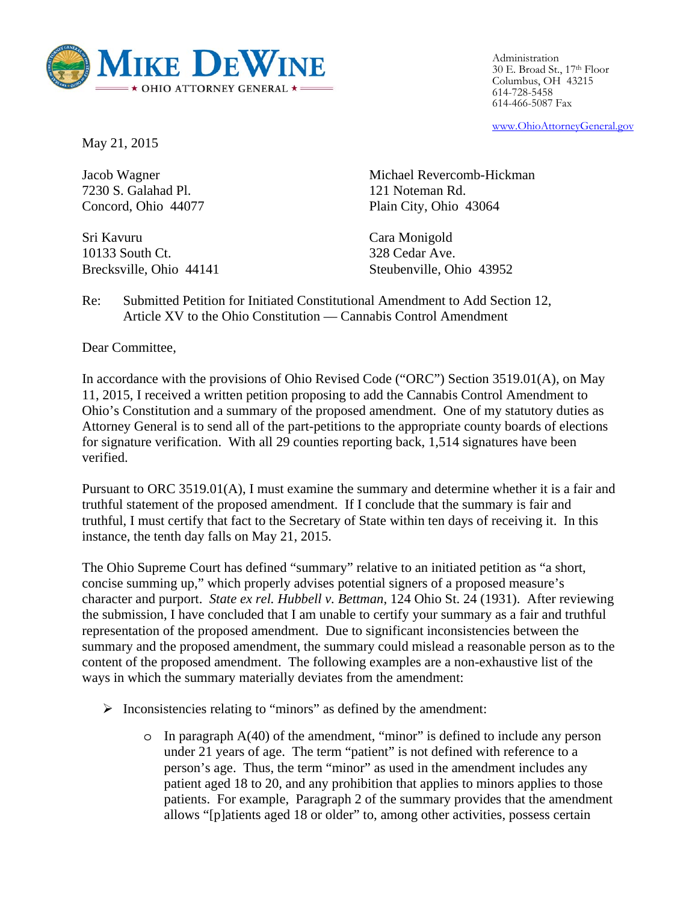

Administration 30 E. Broad St., 17th Floor Columbus, OH 43215 614-728-5458 614-466-5087 Fax

www.OhioAttorneyGeneral.gov

May 21, 2015

Jacob Wagner 7230 S. Galahad Pl. Concord, Ohio 44077

Sri Kavuru 10133 South Ct. Brecksville, Ohio 44141 Michael Revercomb-Hickman 121 Noteman Rd. Plain City, Ohio 43064

Cara Monigold 328 Cedar Ave. Steubenville, Ohio 43952

Re: Submitted Petition for Initiated Constitutional Amendment to Add Section 12, Article XV to the Ohio Constitution — Cannabis Control Amendment

Dear Committee,

In accordance with the provisions of Ohio Revised Code ("ORC") Section 3519.01(A), on May 11, 2015, I received a written petition proposing to add the Cannabis Control Amendment to Ohio's Constitution and a summary of the proposed amendment. One of my statutory duties as Attorney General is to send all of the part-petitions to the appropriate county boards of elections for signature verification. With all 29 counties reporting back, 1,514 signatures have been verified.

Pursuant to ORC 3519.01(A), I must examine the summary and determine whether it is a fair and truthful statement of the proposed amendment. If I conclude that the summary is fair and truthful, I must certify that fact to the Secretary of State within ten days of receiving it. In this instance, the tenth day falls on May 21, 2015.

The Ohio Supreme Court has defined "summary" relative to an initiated petition as "a short, concise summing up," which properly advises potential signers of a proposed measure's character and purport. *State ex rel. Hubbell v. Bettman*, 124 Ohio St. 24 (1931). After reviewing the submission, I have concluded that I am unable to certify your summary as a fair and truthful representation of the proposed amendment. Due to significant inconsistencies between the summary and the proposed amendment, the summary could mislead a reasonable person as to the content of the proposed amendment. The following examples are a non-exhaustive list of the ways in which the summary materially deviates from the amendment:

- $\triangleright$  Inconsistencies relating to "minors" as defined by the amendment:
	- $\circ$  In paragraph A(40) of the amendment, "minor" is defined to include any person under 21 years of age. The term "patient" is not defined with reference to a person's age. Thus, the term "minor" as used in the amendment includes any patient aged 18 to 20, and any prohibition that applies to minors applies to those patients. For example, Paragraph 2 of the summary provides that the amendment allows "[p]atients aged 18 or older" to, among other activities, possess certain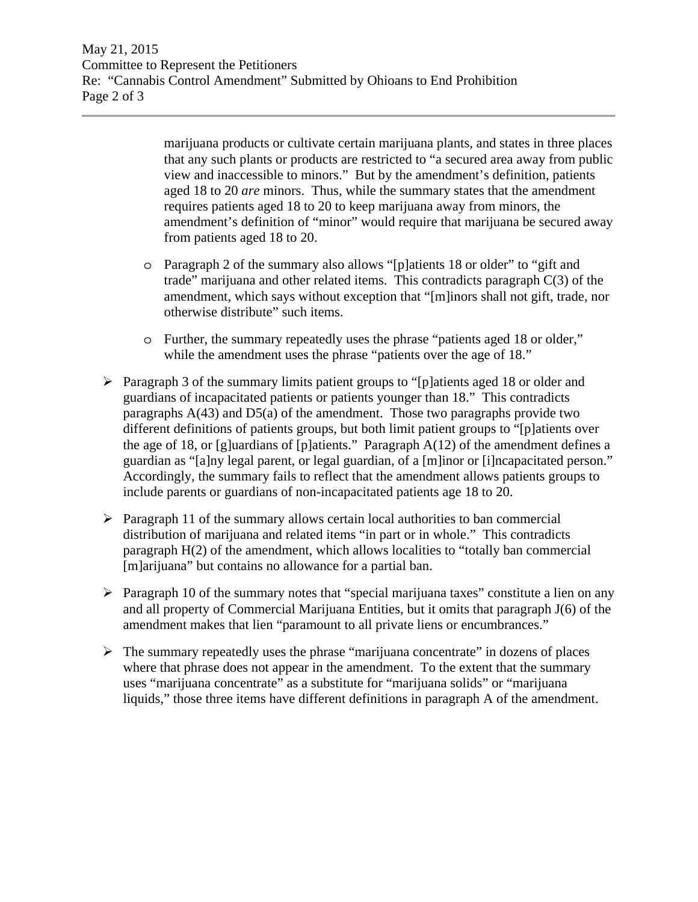May 21, 2015 Committee to Represent the Petitioners Re: "Cannabis Control Amendment" Submitted by Ohioans to End Prohibition Page 2 of 3

> marijuana products or cultivate certain marijuana plants, and states in three places that any such plants or products are restricted to "a secured area away from public view and inaccessible to minors." But by the amendment's definition, patients aged 18 to 20 *are* minors. Thus, while the summary states that the amendment requires patients aged 18 to 20 to keep marijuana away from minors, the amendment's definition of "minor" would require that marijuana be secured away from patients aged 18 to 20.

- o Paragraph 2 of the summary also allows "[p]atients 18 or older" to "gift and trade" marijuana and other related items. This contradicts paragraph C(3) of the amendment, which says without exception that "[m]inors shall not gift, trade, nor otherwise distribute" such items.
- o Further, the summary repeatedly uses the phrase "patients aged 18 or older," while the amendment uses the phrase "patients over the age of 18."
- $\triangleright$  Paragraph 3 of the summary limits patient groups to "[p]atients aged 18 or older and guardians of incapacitated patients or patients younger than 18." This contradicts paragraphs  $A(43)$  and  $D5(a)$  of the amendment. Those two paragraphs provide two different definitions of patients groups, but both limit patient groups to "[p]atients over the age of 18, or [g]uardians of [p]atients." Paragraph  $A(12)$  of the amendment defines a guardian as "[a]ny legal parent, or legal guardian, of a [m]inor or [i]ncapacitated person." Accordingly, the summary fails to reflect that the amendment allows patients groups to include parents or guardians of non-incapacitated patients age 18 to 20.
- $\triangleright$  Paragraph 11 of the summary allows certain local authorities to ban commercial distribution of marijuana and related items "in part or in whole." This contradicts paragraph H(2) of the amendment, which allows localities to "totally ban commercial [m]arijuana" but contains no allowance for a partial ban.
- $\triangleright$  Paragraph 10 of the summary notes that "special marijuana taxes" constitute a lien on any and all property of Commercial Marijuana Entities, but it omits that paragraph J(6) of the amendment makes that lien "paramount to all private liens or encumbrances."
- $\triangleright$  The summary repeatedly uses the phrase "marijuana concentrate" in dozens of places where that phrase does not appear in the amendment. To the extent that the summary uses "marijuana concentrate" as a substitute for "marijuana solids" or "marijuana liquids," those three items have different definitions in paragraph A of the amendment.